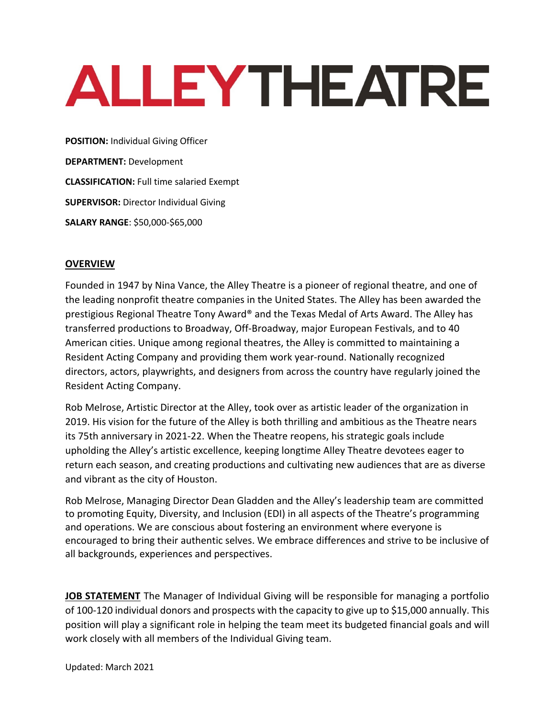# **ALLEYTHEATRE**

**POSITION:** Individual Giving Officer **DEPARTMENT:** Development **CLASSIFICATION:** Full time salaried Exempt **SUPERVISOR:** Director Individual Giving **SALARY RANGE**: \$50,000-\$65,000

## **OVERVIEW**

Founded in 1947 by Nina Vance, the Alley Theatre is a pioneer of regional theatre, and one of the leading nonprofit theatre companies in the United States. The Alley has been awarded the prestigious Regional Theatre Tony Award® and the Texas Medal of Arts Award. The Alley has transferred productions to Broadway, Off-Broadway, major European Festivals, and to 40 American cities. Unique among regional theatres, the Alley is committed to maintaining a Resident Acting Company and providing them work year-round. Nationally recognized directors, actors, playwrights, and designers from across the country have regularly joined the Resident Acting Company.

Rob Melrose, Artistic Director at the Alley, took over as artistic leader of the organization in 2019. His vision for the future of the Alley is both thrilling and ambitious as the Theatre nears its 75th anniversary in 2021-22. When the Theatre reopens, his strategic goals include upholding the Alley's artistic excellence, keeping longtime Alley Theatre devotees eager to return each season, and creating productions and cultivating new audiences that are as diverse and vibrant as the city of Houston.

Rob Melrose, Managing Director Dean Gladden and the Alley's leadership team are committed to promoting Equity, Diversity, and Inclusion (EDI) in all aspects of the Theatre's programming and operations. We are conscious about fostering an environment where everyone is encouraged to bring their authentic selves. We embrace differences and strive to be inclusive of all backgrounds, experiences and perspectives.

**JOB STATEMENT** The Manager of Individual Giving will be responsible for managing a portfolio of 100-120 individual donors and prospects with the capacity to give up to \$15,000 annually. This position will play a significant role in helping the team meet its budgeted financial goals and will work closely with all members of the Individual Giving team.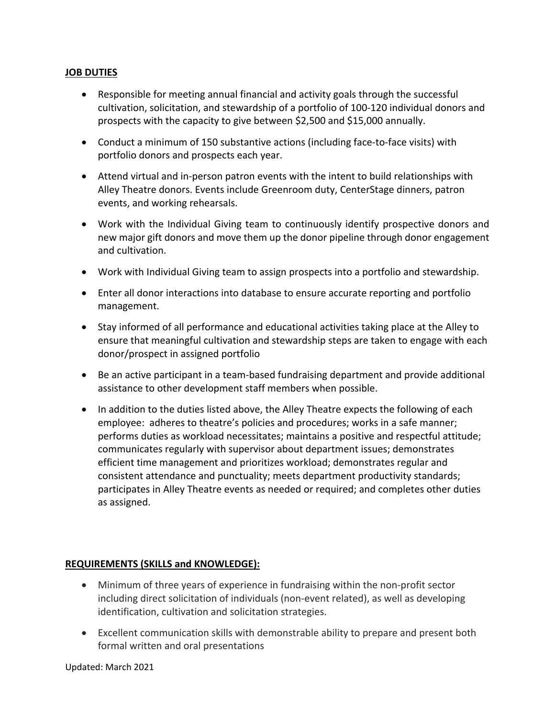### **JOB DUTIES**

- Responsible for meeting annual financial and activity goals through the successful cultivation, solicitation, and stewardship of a portfolio of 100-120 individual donors and prospects with the capacity to give between \$2,500 and \$15,000 annually.
- Conduct a minimum of 150 substantive actions (including face-to-face visits) with portfolio donors and prospects each year.
- Attend virtual and in-person patron events with the intent to build relationships with Alley Theatre donors. Events include Greenroom duty, CenterStage dinners, patron events, and working rehearsals.
- Work with the Individual Giving team to continuously identify prospective donors and new major gift donors and move them up the donor pipeline through donor engagement and cultivation.
- Work with Individual Giving team to assign prospects into a portfolio and stewardship.
- Enter all donor interactions into database to ensure accurate reporting and portfolio management.
- Stay informed of all performance and educational activities taking place at the Alley to ensure that meaningful cultivation and stewardship steps are taken to engage with each donor/prospect in assigned portfolio
- Be an active participant in a team-based fundraising department and provide additional assistance to other development staff members when possible.
- In addition to the duties listed above, the Alley Theatre expects the following of each employee: adheres to theatre's policies and procedures; works in a safe manner; performs duties as workload necessitates; maintains a positive and respectful attitude; communicates regularly with supervisor about department issues; demonstrates efficient time management and prioritizes workload; demonstrates regular and consistent attendance and punctuality; meets department productivity standards; participates in Alley Theatre events as needed or required; and completes other duties as assigned.

### **REQUIREMENTS (SKILLS and KNOWLEDGE):**

- Minimum of three years of experience in fundraising within the non-profit sector including direct solicitation of individuals (non-event related), as well as developing identification, cultivation and solicitation strategies.
- Excellent communication skills with demonstrable ability to prepare and present both formal written and oral presentations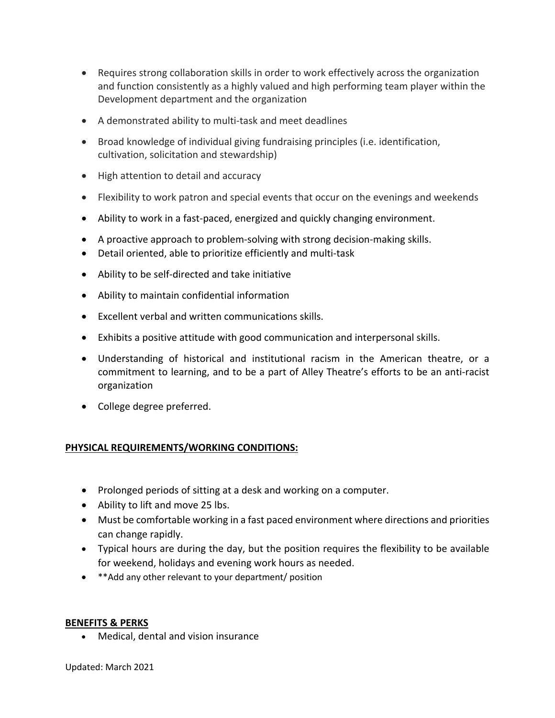- Requires strong collaboration skills in order to work effectively across the organization and function consistently as a highly valued and high performing team player within the Development department and the organization
- A demonstrated ability to multi-task and meet deadlines
- Broad knowledge of individual giving fundraising principles (i.e. identification, cultivation, solicitation and stewardship)
- High attention to detail and accuracy
- Flexibility to work patron and special events that occur on the evenings and weekends
- Ability to work in a fast-paced, energized and quickly changing environment.
- A proactive approach to problem-solving with strong decision-making skills.
- Detail oriented, able to prioritize efficiently and multi-task
- Ability to be self-directed and take initiative
- Ability to maintain confidential information
- Excellent verbal and written communications skills.
- Exhibits a positive attitude with good communication and interpersonal skills.
- Understanding of historical and institutional racism in the American theatre, or a commitment to learning, and to be a part of Alley Theatre's efforts to be an anti-racist organization
- College degree preferred.

# **PHYSICAL REQUIREMENTS/WORKING CONDITIONS:**

- Prolonged periods of sitting at a desk and working on a computer.
- Ability to lift and move 25 lbs.
- Must be comfortable working in a fast paced environment where directions and priorities can change rapidly.
- Typical hours are during the day, but the position requires the flexibility to be available for weekend, holidays and evening work hours as needed.
- \*\*Add any other relevant to your department/ position

### **BENEFITS & PERKS**

• Medical, dental and vision insurance